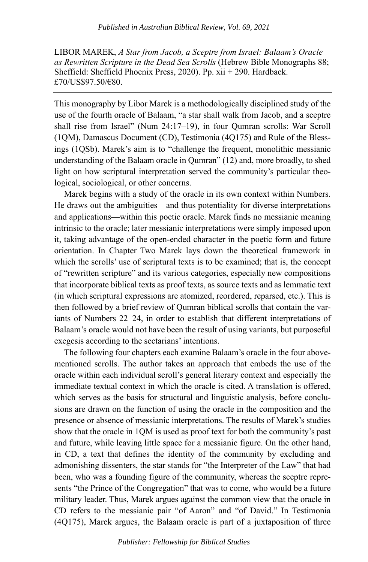LIBOR MAREK, *A Star from Jacob, a Sceptre from Israel: Balaam's Oracle as Rewritten Scripture in the Dead Sea Scrolls* (Hebrew Bible Monographs 88; Sheffield: Sheffield Phoenix Press, 2020). Pp. xii + 290. Hardback. £70/US\$97.50/€80.

This monography by Libor Marek is a methodologically disciplined study of the use of the fourth oracle of Balaam, "a star shall walk from Jacob, and a sceptre shall rise from Israel" (Num 24:17–19), in four Qumran scrolls: War Scroll (1QM), Damascus Document (CD), Testimonia (4Q175) and Rule of the Blessings (1QSb). Marek's aim is to "challenge the frequent, monolithic messianic understanding of the Balaam oracle in Qumran" (12) and, more broadly, to shed light on how scriptural interpretation served the community's particular theological, sociological, or other concerns.

Marek begins with a study of the oracle in its own context within Numbers. He draws out the ambiguities—and thus potentiality for diverse interpretations and applications—within this poetic oracle. Marek finds no messianic meaning intrinsic to the oracle; later messianic interpretations were simply imposed upon it, taking advantage of the open-ended character in the poetic form and future orientation. In Chapter Two Marek lays down the theoretical framework in which the scrolls' use of scriptural texts is to be examined; that is, the concept of "rewritten scripture" and its various categories, especially new compositions that incorporate biblical texts as proof texts, as source texts and as lemmatic text (in which scriptural expressions are atomized, reordered, reparsed, etc.). This is then followed by a brief review of Qumran biblical scrolls that contain the variants of Numbers 22–24, in order to establish that different interpretations of Balaam's oracle would not have been the result of using variants, but purposeful exegesis according to the sectarians' intentions.

The following four chapters each examine Balaam's oracle in the four abovementioned scrolls. The author takes an approach that embeds the use of the oracle within each individual scroll's general literary context and especially the immediate textual context in which the oracle is cited. A translation is offered, which serves as the basis for structural and linguistic analysis, before conclusions are drawn on the function of using the oracle in the composition and the presence or absence of messianic interpretations. The results of Marek's studies show that the oracle in 1QM is used as proof text for both the community's past and future, while leaving little space for a messianic figure. On the other hand, in CD, a text that defines the identity of the community by excluding and admonishing dissenters, the star stands for "the Interpreter of the Law" that had been, who was a founding figure of the community, whereas the sceptre represents "the Prince of the Congregation" that was to come, who would be a future military leader. Thus, Marek argues against the common view that the oracle in CD refers to the messianic pair "of Aaron" and "of David." In Testimonia (4Q175), Marek argues, the Balaam oracle is part of a juxtaposition of three